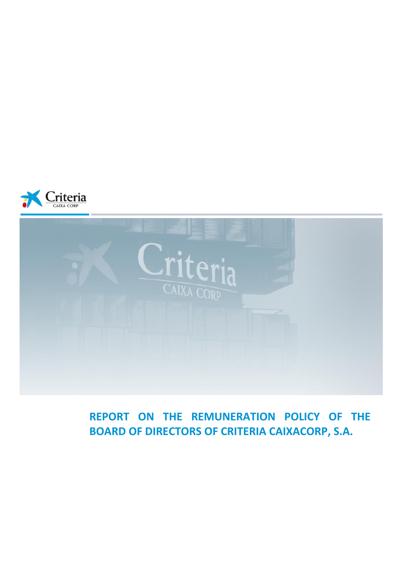



**REPORT ON THE REMUNERATION POLICY OF THE BOARD OF DIRECTORS OF CRITERIA CAIXACORP, S.A.**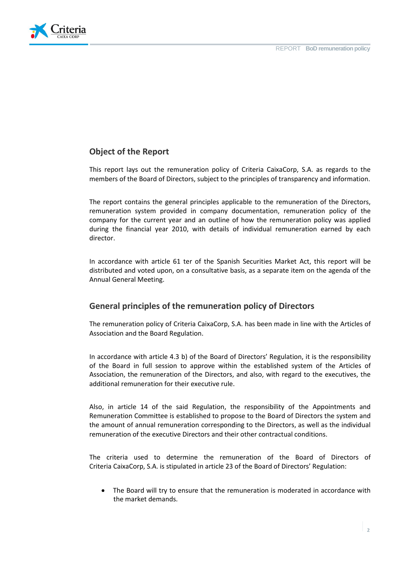

# **Object of the Report**

This report lays out the remuneration policy of Criteria CaixaCorp, S.A. as regards to the members of the Board of Directors, subject to the principles of transparency and information.

The report contains the general principles applicable to the remuneration of the Directors, remuneration system provided in company documentation, remuneration policy of the company for the current year and an outline of how the remuneration policy was applied during the financial year 2010, with details of individual remuneration earned by each director.

In accordance with article 61 ter of the Spanish Securities Market Act, this report will be distributed and voted upon, on a consultative basis, as a separate item on the agenda of the Annual General Meeting.

### **General principles of the remuneration policy of Directors**

The remuneration policy of Criteria CaixaCorp, S.A. has been made in line with the Articles of Association and the Board Regulation.

In accordance with article 4.3 b) of the Board of Directors' Regulation, it is the responsibility of the Board in full session to approve within the established system of the Articles of Association, the remuneration of the Directors, and also, with regard to the executives, the additional remuneration for their executive rule.

Also, in article 14 of the said Regulation, the responsibility of the Appointments and Remuneration Committee is established to propose to the Board of Directors the system and the amount of annual remuneration corresponding to the Directors, as well as the individual remuneration of the executive Directors and their other contractual conditions.

The criteria used to determine the remuneration of the Board of Directors of Criteria CaixaCorp, S.A. is stipulated in article 23 of the Board of Directors' Regulation:

The Board will try to ensure that the remuneration is moderated in accordance with the market demands.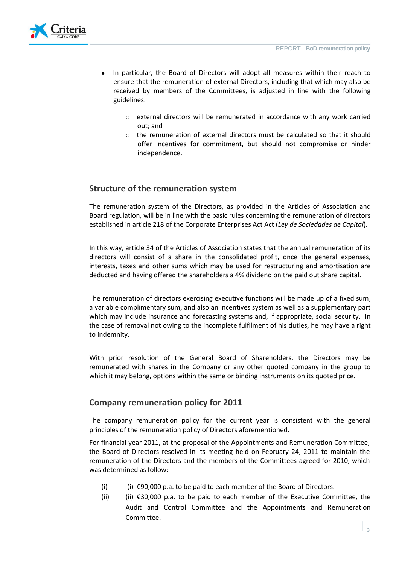

- In particular, the Board of Directors will adopt all measures within their reach to ensure that the remuneration of external Directors, including that which may also be received by members of the Committees, is adjusted in line with the following guidelines:
	- o external directors will be remunerated in accordance with any work carried out; and
	- o the remuneration of external directors must be calculated so that it should offer incentives for commitment, but should not compromise or hinder independence.

### **Structure of the remuneration system**

The remuneration system of the Directors, as provided in the Articles of Association and Board regulation, will be in line with the basic rules concerning the remuneration of directors established in article 218 of the Corporate Enterprises Act Act (*Ley de Sociedades de Capital*).

In this way, article 34 of the Articles of Association states that the annual remuneration of its directors will consist of a share in the consolidated profit, once the general expenses, interests, taxes and other sums which may be used for restructuring and amortisation are deducted and having offered the shareholders a 4% dividend on the paid out share capital.

The remuneration of directors exercising executive functions will be made up of a fixed sum, a variable complimentary sum, and also an incentives system as well as a supplementary part which may include insurance and forecasting systems and, if appropriate, social security. In the case of removal not owing to the incomplete fulfilment of his duties, he may have a right to indemnity.

With prior resolution of the General Board of Shareholders, the Directors may be remunerated with shares in the Company or any other quoted company in the group to which it may belong, options within the same or binding instruments on its quoted price.

### **Company remuneration policy for 2011**

The company remuneration policy for the current year is consistent with the general principles of the remuneration policy of Directors aforementioned.

For financial year 2011, at the proposal of the Appointments and Remuneration Committee, the Board of Directors resolved in its meeting held on February 24, 2011 to maintain the remuneration of the Directors and the members of the Committees agreed for 2010, which was determined as follow:

- (i) (i)  $\epsilon$ 90,000 p.a. to be paid to each member of the Board of Directors.
- (ii)  $(ii)$  ∈30,000 p.a. to be paid to each member of the Executive Committee, the Audit and Control Committee and the Appointments and Remuneration Committee.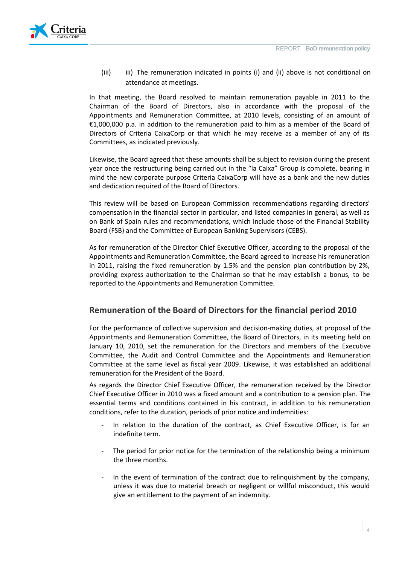

(iii) iii) The remuneration indicated in points (i) and (ii) above is not conditional on attendance at meetings.

In that meeting, the Board resolved to maintain remuneration payable in 2011 to the Chairman of the Board of Directors, also in accordance with the proposal of the Appointments and Remuneration Committee, at 2010 levels, consisting of an amount of €1,000,000 p.a. in addition to the remuneration paid to him as a member of the Board of Directors of Criteria CaixaCorp or that which he may receive as a member of any of its Committees, as indicated previously.

Likewise, the Board agreed that these amounts shall be subject to revision during the present year once the restructuring being carried out in the "la Caixa" Group is complete, bearing in mind the new corporate purpose Criteria CaixaCorp will have as a bank and the new duties and dedication required of the Board of Directors.

This review will be based on European Commission recommendations regarding directors' compensation in the financial sector in particular, and listed companies in general, as well as on Bank of Spain rules and recommendations, which include those of the Financial Stability Board (FSB) and the Committee of European Banking Supervisors (CEBS).

As for remuneration of the Director Chief Executive Officer, according to the proposal of the Appointments and Remuneration Committee, the Board agreed to increase his remuneration in 2011, raising the fixed remuneration by 1.5% and the pension plan contribution by 2%, providing express authorization to the Chairman so that he may establish a bonus, to be reported to the Appointments and Remuneration Committee.

### **Remuneration of the Board of Directors for the financial period 2010**

For the performance of collective supervision and decision-making duties, at proposal of the Appointments and Remuneration Committee, the Board of Directors, in its meeting held on January 10, 2010, set the remuneration for the Directors and members of the Executive Committee, the Audit and Control Committee and the Appointments and Remuneration Committee at the same level as fiscal year 2009. Likewise, it was established an additional remuneration for the President of the Board.

As regards the Director Chief Executive Officer, the remuneration received by the Director Chief Executive Officer in 2010 was a fixed amount and a contribution to a pension plan. The essential terms and conditions contained in his contract, in addition to his remuneration conditions, refer to the duration, periods of prior notice and indemnities:

- In relation to the duration of the contract, as Chief Executive Officer, is for an indefinite term.
- The period for prior notice for the termination of the relationship being a minimum the three months.
- In the event of termination of the contract due to relinquishment by the company, unless it was due to material breach or negligent or willful misconduct, this would give an entitlement to the payment of an indemnity.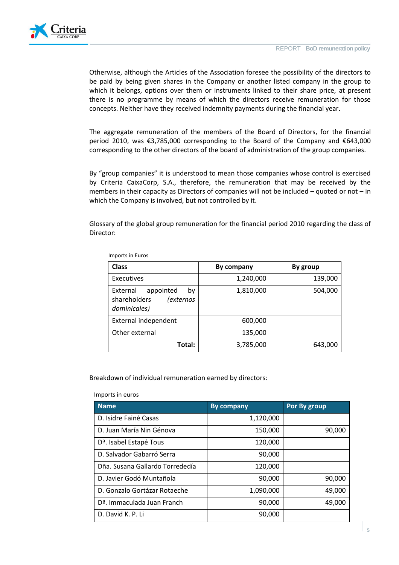

Otherwise, although the Articles of the Association foresee the possibility of the directors to be paid by being given shares in the Company or another listed company in the group to which it belongs, options over them or instruments linked to their share price, at present there is no programme by means of which the directors receive remuneration for those concepts. Neither have they received indemnity payments during the financial year.

The aggregate remuneration of the members of the Board of Directors, for the financial period 2010, was €3,785,000 corresponding to the Board of the Company and €643,000 corresponding to the other directors of the board of administration of the group companies.

By "group companies" it is understood to mean those companies whose control is exercised by Criteria CaixaCorp, S.A., therefore, the remuneration that may be received by the members in their capacity as Directors of companies will not be included – quoted or not – in which the Company is involved, but not controlled by it.

Glossary of the global group remuneration for the financial period 2010 regarding the class of Director:

| <b>Class</b>                                                                    | By company | By group |
|---------------------------------------------------------------------------------|------------|----------|
| Executives                                                                      | 1,240,000  | 139,000  |
| appointed<br>External<br>bv<br>shareholders<br><i>(externos</i><br>dominicales) | 1,810,000  | 504,000  |
| External independent                                                            | 600,000    |          |
| Other external                                                                  | 135,000    |          |
| Total:                                                                          | 3,785,000  | 643,000  |

Imports in Euros

Breakdown of individual remuneration earned by directors:

Imports in euros

| <b>Name</b>                             | <b>By company</b> | Por By group |
|-----------------------------------------|-------------------|--------------|
| D. Isidre Fainé Casas                   | 1,120,000         |              |
| D. Juan María Nin Génova                | 150,000           | 90,000       |
| D <sup>a</sup> . Isabel Estapé Tous     | 120,000           |              |
| D. Salvador Gabarró Serra               | 90,000            |              |
| Dña. Susana Gallardo Torrededía         | 120,000           |              |
| D. Javier Godó Muntañola                | 90,000            | 90,000       |
| D. Gonzalo Gortázar Rotaeche            | 1,090,000         | 49,000       |
| D <sup>a</sup> . Immaculada Juan Franch | 90,000            | 49,000       |
| D. David K. P. Li                       | 90,000            |              |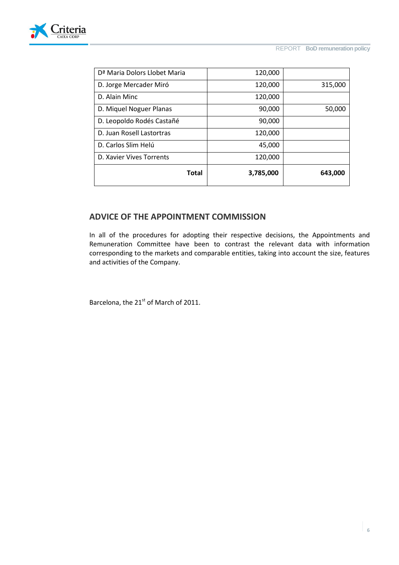

| Total                                    | 3,785,000 | 643,000 |
|------------------------------------------|-----------|---------|
| D. Xavier Vives Torrents                 | 120,000   |         |
| D. Carlos Slim Helú                      | 45,000    |         |
| D. Juan Rosell Lastortras                | 120,000   |         |
| D. Leopoldo Rodés Castañé                | 90,000    |         |
| D. Miquel Noguer Planas                  | 90,000    | 50,000  |
| D. Alain Minc                            | 120,000   |         |
| D. Jorge Mercader Miró                   | 120,000   | 315,000 |
| D <sup>ª</sup> Maria Dolors Llobet Maria | 120,000   |         |

## **ADVICE OF THE APPOINTMENT COMMISSION**

In all of the procedures for adopting their respective decisions, the Appointments and Remuneration Committee have been to contrast the relevant data with information corresponding to the markets and comparable entities, taking into account the size, features and activities of the Company.

Barcelona, the  $21<sup>st</sup>$  of March of 2011.